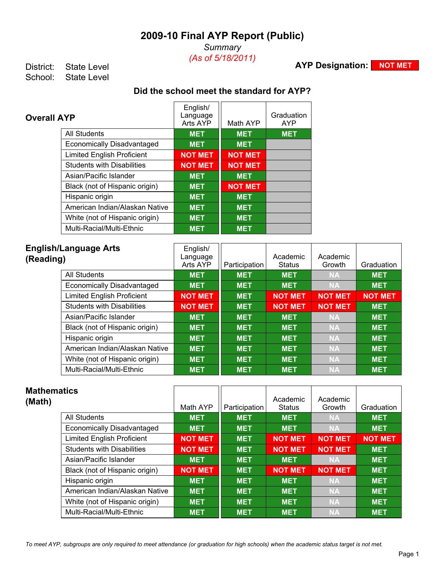*Summary (As of 5/18/2011)*

**AYP Designation: NOT MET** 

District: State Level<br>School: State Level State Level

## **Did the school meet the standard for AYP?**

| <b>Overall AYP</b>                | English/<br>Language<br>Arts AYP | Math AYP       | Graduation<br><b>AYP</b> |
|-----------------------------------|----------------------------------|----------------|--------------------------|
| <b>All Students</b>               | <b>MET</b>                       | <b>MET</b>     | <b>MET</b>               |
| Economically Disadvantaged        | <b>MET</b>                       | <b>MET</b>     |                          |
| <b>Limited English Proficient</b> | <b>NOT MET</b>                   | <b>NOT MET</b> |                          |
| <b>Students with Disabilities</b> | <b>NOT MET</b>                   | <b>NOT MET</b> |                          |
| Asian/Pacific Islander            | <b>MET</b>                       | <b>MET</b>     |                          |
| Black (not of Hispanic origin)    | <b>MET</b>                       | <b>NOT MET</b> |                          |
| Hispanic origin                   | <b>MET</b>                       | <b>MET</b>     |                          |
| American Indian/Alaskan Native    | <b>MET</b>                       | <b>MET</b>     |                          |
| White (not of Hispanic origin)    | <b>MET</b>                       | <b>MET</b>     |                          |
| Multi-Racial/Multi-Ethnic         | <b>MET</b>                       | <b>MET</b>     |                          |

| <b>English/Language Arts</b><br>(Reading) | English/<br>Language<br>Arts AYP | Participation | Academic<br><b>Status</b> | Academic<br>Growth | Graduation     |
|-------------------------------------------|----------------------------------|---------------|---------------------------|--------------------|----------------|
| All Students                              | <b>MET</b>                       | <b>MET</b>    | <b>MET</b>                | <b>NA</b>          | <b>MET</b>     |
| <b>Economically Disadvantaged</b>         | <b>MET</b>                       | <b>MET</b>    | <b>MET</b>                | <b>NA</b>          | <b>MET</b>     |
| <b>Limited English Proficient</b>         | <b>NOT MET</b>                   | <b>MET</b>    | <b>NOT MET</b>            | <b>NOT MET</b>     | <b>NOT MET</b> |
| <b>Students with Disabilities</b>         | <b>NOT MET</b>                   | <b>MET</b>    | <b>NOT MET</b>            | <b>NOT MET</b>     | <b>MET</b>     |
| Asian/Pacific Islander                    | <b>MET</b>                       | <b>MET</b>    | <b>MET</b>                | <b>NA</b>          | <b>MET</b>     |
| Black (not of Hispanic origin)            | <b>MET</b>                       | <b>MET</b>    | <b>MET</b>                | <b>NA</b>          | <b>MET</b>     |
| Hispanic origin                           | <b>MET</b>                       | <b>MET</b>    | <b>MET</b>                | <b>NA</b>          | <b>MET</b>     |
| American Indian/Alaskan Native            | <b>MET</b>                       | <b>MET</b>    | <b>MET</b>                | <b>NA</b>          | <b>MET</b>     |
| White (not of Hispanic origin)            | <b>MET</b>                       | <b>MET</b>    | <b>MET</b>                | <b>NA</b>          | <b>MET</b>     |
| Multi-Racial/Multi-Ethnic                 | <b>MET</b>                       | <b>MET</b>    | <b>MET</b>                | <b>NA</b>          | <b>MET</b>     |

| <b>Mathematics</b><br>(Math) |                                   | Math AYP       | Participation | Academic<br><b>Status</b> | Academic<br>Growth | Graduation     |
|------------------------------|-----------------------------------|----------------|---------------|---------------------------|--------------------|----------------|
|                              | <b>All Students</b>               | <b>MET</b>     | <b>MET</b>    | <b>MET</b>                | <b>NA</b>          | <b>MET</b>     |
|                              | Economically Disadvantaged        | <b>MET</b>     | <b>MET</b>    | <b>MET</b>                | <b>NA</b>          | <b>MET</b>     |
|                              | <b>Limited English Proficient</b> | <b>NOT MET</b> | <b>MET</b>    | <b>NOT MET</b>            | <b>NOT MET</b>     | <b>NOT MET</b> |
|                              | <b>Students with Disabilities</b> | <b>NOT MET</b> | <b>MET</b>    | <b>NOT MET</b>            | <b>NOT MET</b>     | <b>MET</b>     |
|                              | Asian/Pacific Islander            | <b>MET</b>     | <b>MET</b>    | <b>MET</b>                | <b>NA</b>          | <b>MET</b>     |
|                              | Black (not of Hispanic origin)    | <b>NOT MET</b> | <b>MET</b>    | <b>NOT MET</b>            | <b>NOT MET</b>     | <b>MET</b>     |
|                              | Hispanic origin                   | <b>MET</b>     | <b>MET</b>    | <b>MET</b>                | <b>NA</b>          | <b>MET</b>     |
|                              | American Indian/Alaskan Native    | <b>MET</b>     | <b>MET</b>    | <b>MET</b>                | <b>NA</b>          | <b>MET</b>     |
|                              | White (not of Hispanic origin)    | <b>MET</b>     | <b>MET</b>    | <b>MET</b>                | <b>NA</b>          | <b>MET</b>     |
|                              | Multi-Racial/Multi-Ethnic         | <b>MET</b>     | <b>MET</b>    | <b>MET</b>                | <b>NA</b>          | <b>MET</b>     |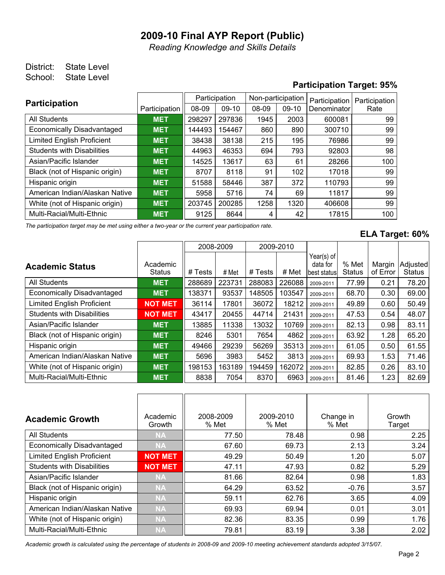*Reading Knowledge and Skills Details*

## District: State Level School: State Level

## **Participation Target: 95%**

| <b>Participation</b>              |               |        | Participation | Non-participation |         | Participation | Participation |  |
|-----------------------------------|---------------|--------|---------------|-------------------|---------|---------------|---------------|--|
|                                   | Participation | 08-09  | $09-10$       | 08-09             | $09-10$ | Denominator   | Rate          |  |
| <b>All Students</b>               | <b>MET</b>    | 298297 | 297836        | 1945              | 2003    | 600081        | 99            |  |
| <b>Economically Disadvantaged</b> | <b>MET</b>    | 144493 | 154467        | 860               | 890     | 300710        | 99            |  |
| <b>Limited English Proficient</b> | <b>MET</b>    | 38438  | 38138         | 215               | 195     | 76986         | 99            |  |
| <b>Students with Disabilities</b> | <b>MET</b>    | 44963  | 46353         | 694               | 793     | 92803         | 98            |  |
| Asian/Pacific Islander            | <b>MET</b>    | 14525  | 13617         | 63                | 61      | 28266         | 100           |  |
| Black (not of Hispanic origin)    | <b>MET</b>    | 8707   | 8118          | 91                | 102     | 17018         | 99            |  |
| Hispanic origin                   | <b>MET</b>    | 51588  | 58446         | 387               | 372     | 110793        | 99            |  |
| American Indian/Alaskan Native    | <b>MET</b>    | 5958   | 5716          | 74                | 69      | 11817         | 99            |  |
| White (not of Hispanic origin)    | <b>MET</b>    | 203745 | 200285        | 1258              | 1320    | 406608        | 99            |  |
| Multi-Racial/Multi-Ethnic         | <b>MET</b>    | 9125   | 8644          | 4                 | 42      | 17815         | 100           |  |

*The participation target may be met using either a two-year or the current year participation rate.*

#### **ELA Target: 60%**

|                                   |                           |         | 2008-2009 |         | 2009-2010 |                                         |                        |                    |                           |
|-----------------------------------|---------------------------|---------|-----------|---------|-----------|-----------------------------------------|------------------------|--------------------|---------------------------|
| <b>Academic Status</b>            | Academic<br><b>Status</b> | # Tests | # Met     | # Tests | # Met     | Year(s) of<br>data for<br>lbest statusl | % Met<br><b>Status</b> | Margin<br>of Error | Adjusted<br><b>Status</b> |
| <b>All Students</b>               | <b>MET</b>                | 288689  | 223731    | 288083  | 226088    | 2009-2011                               | 77.99                  | 0.21               | 78.20                     |
| <b>Economically Disadvantaged</b> | <b>MET</b>                | 138371  | 93537     | 148505  | 103547    | 2009-2011                               | 68.70                  | 0.30               | 69.00                     |
| <b>Limited English Proficient</b> | <b>NOT MET</b>            | 36114   | 17801     | 36072   | 18212     | 2009-2011                               | 49.89                  | 0.60               | 50.49                     |
| <b>Students with Disabilities</b> | <b>NOT MET</b>            | 43417   | 20455     | 44714   | 21431     | 2009-2011                               | 47.53                  | 0.54               | 48.07                     |
| Asian/Pacific Islander            | <b>MET</b>                | 13885   | 11338     | 13032   | 10769     | 2009-2011                               | 82.13                  | 0.98               | 83.11                     |
| Black (not of Hispanic origin)    | <b>MET</b>                | 8246    | 5301      | 7654    | 4862      | 2009-2011                               | 63.92                  | 1.28               | 65.20                     |
| Hispanic origin                   | <b>MET</b>                | 49466   | 29239     | 56269   | 35313     | 2009-2011                               | 61.05                  | 0.50               | 61.55                     |
| American Indian/Alaskan Native    | <b>MET</b>                | 5696    | 3983      | 5452    | 3813      | 2009-2011                               | 69.93                  | 1.53               | 71.46                     |
| White (not of Hispanic origin)    | <b>MET</b>                | 198153  | 163189    | 194459  | 162072    | 2009-2011                               | 82.85                  | 0.26               | 83.10                     |
| Multi-Racial/Multi-Ethnic         | <b>MET</b>                | 8838    | 7054      | 8370    | 6963      | 2009-2011                               | 81.46                  | 1.23               | 82.69                     |

| <b>Academic Growth</b>            | Academic<br>Growth | 2008-2009<br>% Met | 2009-2010<br>% Met | Change in<br>% Met | Growth<br>Target |
|-----------------------------------|--------------------|--------------------|--------------------|--------------------|------------------|
| All Students                      | <b>NA</b>          | 77.50              | 78.48              | 0.98               | 2.25             |
| <b>Economically Disadvantaged</b> | <b>NA</b>          | 67.60              | 69.73              | 2.13               | 3.24             |
| <b>Limited English Proficient</b> | <b>NOT MET</b>     | 49.29              | 50.49              | 1.20               | 5.07             |
| <b>Students with Disabilities</b> | <b>NOT MET</b>     | 47.11              | 47.93              | 0.82               | 5.29             |
| Asian/Pacific Islander            | <b>NA</b>          | 81.66              | 82.64              | 0.98               | 1.83             |
| Black (not of Hispanic origin)    | <b>NA</b>          | 64.29              | 63.52              | $-0.76$            | 3.57             |
| Hispanic origin                   | <b>NA</b>          | 59.11              | 62.76              | 3.65               | 4.09             |
| American Indian/Alaskan Native    | <b>NA</b>          | 69.93              | 69.94              | 0.01               | 3.01             |
| White (not of Hispanic origin)    | <b>NA</b>          | 82.36              | 83.35              | 0.99               | 1.76             |
| Multi-Racial/Multi-Ethnic         | <b>NA</b>          | 79.81              | 83.19              | 3.38               | 2.02             |

*Academic growth is calculated using the percentage of students in 2008-09 and 2009-10 meeting achievement standards adopted 3/15/07.*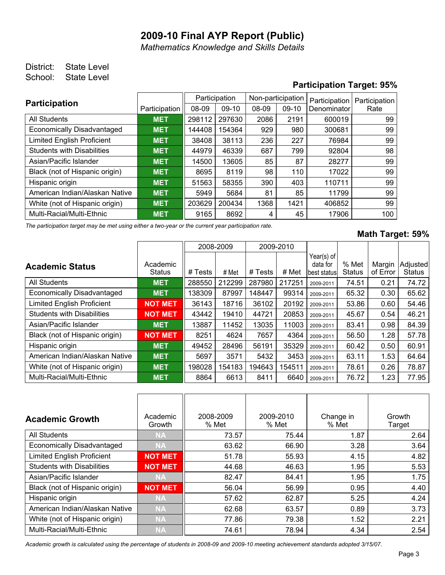*Mathematics Knowledge and Skills Details*

## District: State Level School: State Level

## **Participation Target: 95%**

| <b>Participation</b>              |               |        | Participation | Non-participation |         | Participation | Participation |  |
|-----------------------------------|---------------|--------|---------------|-------------------|---------|---------------|---------------|--|
|                                   | Participation | 08-09  | $09-10$       | 08-09             | $09-10$ | Denominator   | Rate          |  |
| <b>All Students</b>               | <b>MET</b>    | 298112 | 297630        | 2086              | 2191    | 600019        | 99            |  |
| <b>Economically Disadvantaged</b> | <b>MET</b>    | 144408 | 154364        | 929               | 980     | 300681        | 99            |  |
| <b>Limited English Proficient</b> | <b>MET</b>    | 38408  | 38113         | 236               | 227     | 76984         | 99            |  |
| <b>Students with Disabilities</b> | <b>MET</b>    | 44979  | 46339         | 687               | 799     | 92804         | 98            |  |
| Asian/Pacific Islander            | <b>MET</b>    | 14500  | 13605         | 85                | 87      | 28277         | 99            |  |
| Black (not of Hispanic origin)    | <b>MET</b>    | 8695   | 8119          | 98                | 110     | 17022         | 99            |  |
| Hispanic origin                   | <b>MET</b>    | 51563  | 58355         | 390               | 403     | 110711        | 99            |  |
| American Indian/Alaskan Native    | <b>MET</b>    | 5949   | 5684          | 81                | 85      | 11799         | 99            |  |
| White (not of Hispanic origin)    | <b>MET</b>    | 203629 | 200434        | 1368              | 1421    | 406852        | 99            |  |
| Multi-Racial/Multi-Ethnic         | <b>MET</b>    | 9165   | 8692          | 4                 | 45      | 17906         | 100           |  |

*The participation target may be met using either a two-year or the current year participation rate.*

#### **Math Target: 59%**

|                                   |                           |         | 2008-2009 |         | 2009-2010 |                                         |                        |                    |                           |
|-----------------------------------|---------------------------|---------|-----------|---------|-----------|-----------------------------------------|------------------------|--------------------|---------------------------|
| <b>Academic Status</b>            | Academic<br><b>Status</b> | # Tests | # Met     | # Tests | # Met     | Year(s) of<br>data for<br>lbest statusl | % Met<br><b>Status</b> | Margin<br>of Error | Adjusted<br><b>Status</b> |
| <b>All Students</b>               | <b>MET</b>                | 288550  | 212299    | 287980  | 217251    | 2009-2011                               | 74.51                  | 0.21               | 74.72                     |
| <b>Economically Disadvantaged</b> | <b>MET</b>                | 138309  | 87997     | 148447  | 99314     | 2009-2011                               | 65.32                  | 0.30               | 65.62                     |
| <b>Limited English Proficient</b> | <b>NOT MET</b>            | 36143   | 18716     | 36102   | 20192     | 2009-2011                               | 53.86                  | 0.60               | 54.46                     |
| <b>Students with Disabilities</b> | <b>NOT MET</b>            | 43442   | 19410     | 44721   | 20853     | 2009-2011                               | 45.67                  | 0.54               | 46.21                     |
| Asian/Pacific Islander            | <b>MET</b>                | 13887   | 11452     | 13035   | 11003     | 2009-2011                               | 83.41                  | 0.98               | 84.39                     |
| Black (not of Hispanic origin)    | <b>NOT MET</b>            | 8251    | 4624      | 7657    | 4364      | 2009-2011                               | 56.50                  | 1.28               | 57.78                     |
| Hispanic origin                   | <b>MET</b>                | 49452   | 28496     | 56191   | 35329     | 2009-2011                               | 60.42                  | 0.50               | 60.91                     |
| American Indian/Alaskan Native    | <b>MET</b>                | 5697    | 3571      | 5432    | 3453      | 2009-2011                               | 63.11                  | 1.53               | 64.64                     |
| White (not of Hispanic origin)    | <b>MET</b>                | 198028  | 154183    | 194643  | 154511    | 2009-2011                               | 78.61                  | 0.26               | 78.87                     |
| Multi-Racial/Multi-Ethnic         | <b>MET</b>                | 8864    | 6613      | 8411    | 6640      | 2009-2011                               | 76.72                  | 1.23               | 77.95                     |

| <b>Academic Growth</b>            | Academic<br>Growth | 2008-2009<br>% Met | 2009-2010<br>% Met | Change in<br>% Met | Growth<br>Target |
|-----------------------------------|--------------------|--------------------|--------------------|--------------------|------------------|
| <b>All Students</b>               | <b>NA</b>          | 73.57              | 75.44              | 1.87               | 2.64             |
| <b>Economically Disadvantaged</b> | <b>NA</b>          | 63.62              | 66.90              | 3.28               | 3.64             |
| <b>Limited English Proficient</b> | <b>NOT MET</b>     | 51.78              | 55.93              | 4.15               | 4.82             |
| <b>Students with Disabilities</b> | <b>NOT MET</b>     | 44.68              | 46.63              | 1.95               | 5.53             |
| Asian/Pacific Islander            | <b>NA</b>          | 82.47              | 84.41              | 1.95               | 1.75             |
| Black (not of Hispanic origin)    | <b>NOT MET</b>     | 56.04              | 56.99              | 0.95               | 4.40             |
| Hispanic origin                   | <b>NA</b>          | 57.62              | 62.87              | 5.25               | 4.24             |
| American Indian/Alaskan Native    | <b>NA</b>          | 62.68              | 63.57              | 0.89               | 3.73             |
| White (not of Hispanic origin)    | <b>NA</b>          | 77.86              | 79.38              | 1.52               | 2.21             |
| Multi-Racial/Multi-Ethnic         | <b>NA</b>          | 74.61              | 78.94              | 4.34               | 2.54             |

*Academic growth is calculated using the percentage of students in 2008-09 and 2009-10 meeting achievement standards adopted 3/15/07.*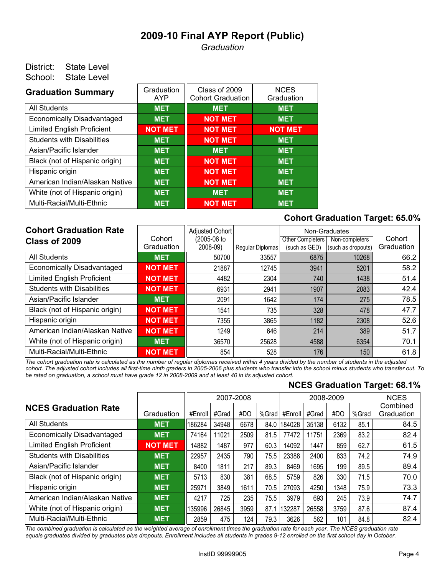*Graduation*

#### District: State Level School: State Level

| <b>Graduation Summary</b>         | Graduation<br>AYP | Class of 2009<br><b>Cohort Graduation</b> | <b>NCES</b><br>Graduation |
|-----------------------------------|-------------------|-------------------------------------------|---------------------------|
| <b>All Students</b>               | <b>MET</b>        | <b>MET</b>                                | <b>MET</b>                |
| <b>Economically Disadvantaged</b> | <b>MET</b>        | <b>NOT MET</b>                            | <b>MET</b>                |
| <b>Limited English Proficient</b> | <b>NOT MET</b>    | <b>NOT MET</b>                            | <b>NOT MET</b>            |
| <b>Students with Disabilities</b> | <b>MET</b>        | <b>NOT MET</b>                            | <b>MET</b>                |
| Asian/Pacific Islander            | <b>MET</b>        | <b>MET</b>                                | <b>MET</b>                |
| Black (not of Hispanic origin)    | <b>MET</b>        | <b>NOT MET</b>                            | <b>MET</b>                |
| Hispanic origin                   | <b>MET</b>        | <b>NOT MET</b>                            | <b>MET</b>                |
| American Indian/Alaskan Native    | <b>MET</b>        | <b>NOT MET</b>                            | <b>MET</b>                |
| White (not of Hispanic origin)    | <b>MET</b>        | <b>MET</b>                                | <b>MET</b>                |
| Multi-Racial/Multi-Ethnic         | <b>MET</b>        | <b>NOT MET</b>                            | <b>MET</b>                |

#### **Cohort Graduation Target: 65.0%**

| <b>Cohort Graduation Rate</b><br>Class of 2009 | Cohort         | Adjusted Cohort<br>(2005-06 to |                  | Other Completers | Non-Graduates<br>Non-completers | Cohort     |
|------------------------------------------------|----------------|--------------------------------|------------------|------------------|---------------------------------|------------|
|                                                | Graduation     | 2008-09)                       | Regular Diplomas | (such as GED)    | (such as dropouts)              | Graduation |
| <b>All Students</b>                            | <b>MET</b>     | 50700                          | 33557            | 6875             | 10268                           | 66.2       |
| <b>Economically Disadvantaged</b>              | <b>NOT MET</b> | 21887                          | 12745            | 3941             | 5201                            | 58.2       |
| <b>Limited English Proficient</b>              | <b>NOT MET</b> | 4482                           | 2304             | 740              | 1438                            | 51.4       |
| <b>Students with Disabilities</b>              | <b>NOT MET</b> | 6931                           | 2941             | 1907             | 2083                            | 42.4       |
| Asian/Pacific Islander                         | <b>MET</b>     | 2091                           | 1642             | 174              | 275                             | 78.5       |
| Black (not of Hispanic origin)                 | <b>NOT MET</b> | 1541                           | 735              | 328              | 478                             | 47.7       |
| Hispanic origin                                | <b>NOT MET</b> | 7355                           | 3865             | 1182             | 2308                            | 52.6       |
| American Indian/Alaskan Native                 | <b>NOT MET</b> | 1249                           | 646              | 214              | 389                             | 51.7       |
| White (not of Hispanic origin)                 | <b>MET</b>     | 36570                          | 25628            | 4588             | 6354                            | 70.1       |
| Multi-Racial/Multi-Ethnic                      | <b>NOT MET</b> | 854                            | 528              | 176              | 150                             | 61.8       |

*The cohort graduation rate is calculated as the number of regular diplomas received within 4 years divided by the number of students in the adjusted cohort. The adjusted cohort includes all first-time ninth graders in 2005-2006 plus students who transfer into the school minus students who transfer out. To be rated on graduation, a school must have grade 12 in 2008-2009 and at least 40 in its adjusted cohort.*

#### **NCES Graduation Target: 68.1%**

|                                   |                | 2007-2008 |       |      |       |         |       | 2008-2009 |       | <b>NCES</b>            |
|-----------------------------------|----------------|-----------|-------|------|-------|---------|-------|-----------|-------|------------------------|
| <b>NCES Graduation Rate</b>       | Graduation     | #Enroll   | #Grad | #DO  | %Grad | #Enroll | #Grad | #DO       | %Grad | Combined<br>Graduation |
| <b>All Students</b>               | <b>MET</b>     | 186284    | 34948 | 6678 | 84.0  | 184028  | 35138 | 6132      | 85.1  | 84.5                   |
| <b>Economically Disadvantaged</b> | <b>MET</b>     | 74164     | 11021 | 2509 | 81.5  | 77472   | 11751 | 2369      | 83.2  | 82.4                   |
| <b>Limited English Proficient</b> | <b>NOT MET</b> | 14882     | 1487  | 977  | 60.3  | 14092   | 1447  | 859       | 62.7  | 61.5                   |
| <b>Students with Disabilities</b> | <b>MET</b>     | 22957     | 2435  | 790  | 75.5  | 23388   | 2400  | 833       | 74.2  | 74.9                   |
| Asian/Pacific Islander            | <b>MET</b>     | 8400      | 1811  | 217  | 89.3  | 8469    | 1695  | 199       | 89.5  | 89.4                   |
| Black (not of Hispanic origin)    | <b>MET</b>     | 5713      | 830   | 381  | 68.5  | 5759    | 826   | 330       | 71.5  | 70.0                   |
| Hispanic origin                   | <b>MET</b>     | 25971     | 3849  | 1611 | 70.5  | 27093   | 4250  | 1348      | 75.9  | 73.3                   |
| American Indian/Alaskan Native    | <b>MET</b>     | 4217      | 725   | 235  | 75.5  | 3979    | 693   | 245       | 73.9  | 74.7                   |
| White (not of Hispanic origin)    | <b>MET</b>     | 135996    | 26845 | 3959 | 87.1  | 132287  | 26558 | 3759      | 87.6  | 87.4                   |
| Multi-Racial/Multi-Ethnic         | <b>MET</b>     | 2859      | 475   | 124  | 79.3  | 3626    | 562   | 101       | 84.8  | 82.4                   |

*The combined graduation is calculated as the weighted average of enrollment times the graduation rate for each year. The NCES graduation rate equals graduates divided by graduates plus dropouts. Enrollment includes all students in grades 9-12 enrolled on the first school day in October.*